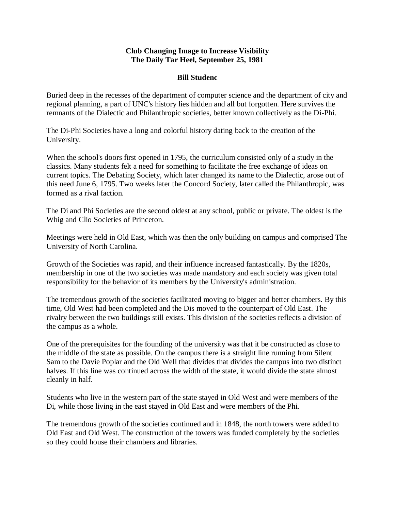## **Club Changing Image to Increase Visibility The Daily Tar Heel, September 25, 1981**

## **Bill Studenc**

Buried deep in the recesses of the department of computer science and the department of city and regional planning, a part of UNC's history lies hidden and all but forgotten. Here survives the remnants of the Dialectic and Philanthropic societies, better known collectively as the Di-Phi.

The Di-Phi Societies have a long and colorful history dating back to the creation of the University.

When the school's doors first opened in 1795, the curriculum consisted only of a study in the classics. Many students felt a need for something to facilitate the free exchange of ideas on current topics. The Debating Society, which later changed its name to the Dialectic, arose out of this need June 6, 1795. Two weeks later the Concord Society, later called the Philanthropic, was formed as a rival faction.

The Di and Phi Societies are the second oldest at any school, public or private. The oldest is the Whig and Clio Societies of Princeton.

Meetings were held in Old East, which was then the only building on campus and comprised The University of North Carolina.

Growth of the Societies was rapid, and their influence increased fantastically. By the 1820s, membership in one of the two societies was made mandatory and each society was given total responsibility for the behavior of its members by the University's administration.

The tremendous growth of the societies facilitated moving to bigger and better chambers. By this time, Old West had been completed and the Dis moved to the counterpart of Old East. The rivalry between the two buildings still exists. This division of the societies reflects a division of the campus as a whole.

One of the prerequisites for the founding of the university was that it be constructed as close to the middle of the state as possible. On the campus there is a straight line running from Silent Sam to the Davie Poplar and the Old Well that divides that divides the campus into two distinct halves. If this line was continued across the width of the state, it would divide the state almost cleanly in half.

Students who live in the western part of the state stayed in Old West and were members of the Di, while those living in the east stayed in Old East and were members of the Phi.

The tremendous growth of the societies continued and in 1848, the north towers were added to Old East and Old West. The construction of the towers was funded completely by the societies so they could house their chambers and libraries.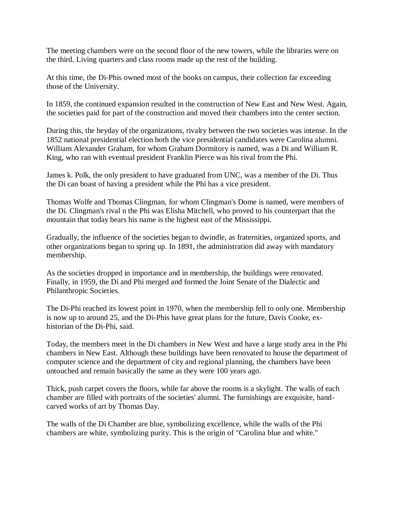The meeting chambers were on the second floor of the new towers, while the libraries were on the third. Living quarters and class rooms made up the rest of the building.

At this time, the Di-Phis owned most of the books on campus, their collection far exceeding those of the University.

In 1859, the continued expansion resulted in the construction of New East and New West. Again, the societies paid for part of the construction and moved their chambers into the center section.

During this, the heyday of the organizations, rivalry between the two societies was intense. In the 1852 national presidential election both the vice presidential candidates were Carolina alumni. William Alexander Graham, for whom Graham Dormitory is named, was a Di and William R. King, who ran with eventual president Franklin Pierce was his rival from the Phi.

James k. Polk, the only president to have graduated from UNC, was a member of the Di. Thus the Di can boast of having a president while the Phi has a vice president.

Thomas Wolfe and Thomas Clingman, for whom Clingman's Dome is named, were members of the Di. Clingman's rival n the Phi was Elisha Mitchell, who proved to his counterpart that the mountain that today bears his name is the highest east of the Mississippi.

Gradually, the influence of the societies began to dwindle, as fraternities, organized sports, and other organizations began to spring up. In 1891, the administration did away with mandatory membership.

As the societies dropped in importance and in membership, the buildings were renovated. Finally, in 1959, the Di and Phi merged and formed the Joint Senate of the Dialectic and Philanthropic Societies.

The Di-Phi reached its lowest point in 1970, when the membership fell to only one. Membership is now up to around 25, and the Di-Phis have great plans for the future, Davis Cooke, exhistorian of the Di-Phi, said.

Today, the members meet in the Di chambers in New West and have a large study area in the Phi chambers in New East. Although these buildings have been renovated to house the department of computer science and the department of city and regional planning, the chambers have been untouched and remain basically the same as they were 100 years ago.

Thick, push carpet covers the floors, while far above the rooms is a skylight. The walls of each chamber are filled with portraits of the societies' alumni. The furnishings are exquisite, handcarved works of art by Thomas Day.

The walls of the Di Chamber are blue, symbolizing excellence, while the walls of the Phi chambers are white, symbolizing purity. This is the origin of "Carolina blue and white."